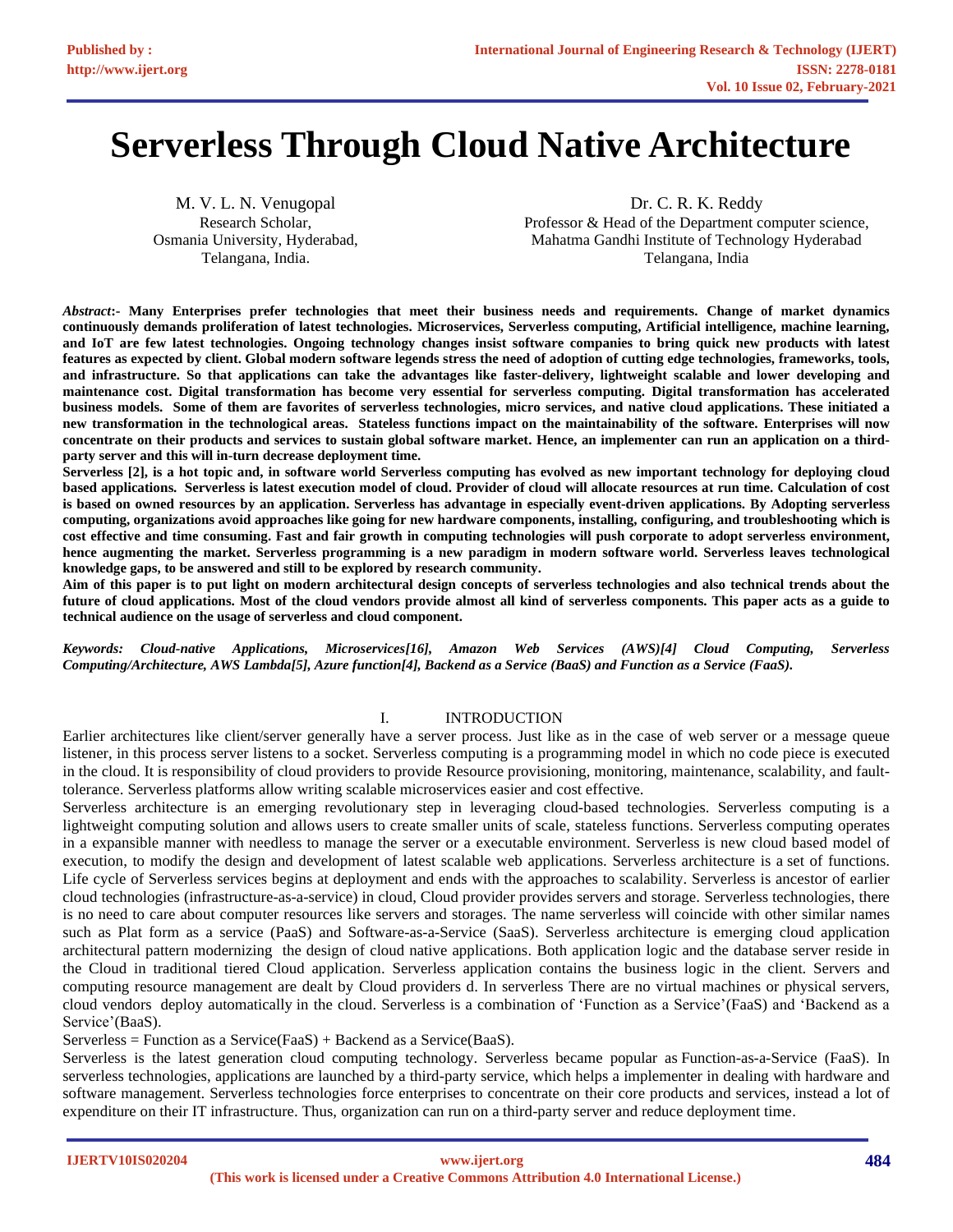# **Serverless Through Cloud Native Architecture**

M. V. L. N. Venugopal Research Scholar, Osmania University, Hyderabad, Telangana, India.

Dr. C. R. K. Reddy Professor & Head of the Department computer science, Mahatma Gandhi Institute of Technology Hyderabad Telangana, India

*Abstract***:- Many Enterprises prefer technologies that meet their business needs and requirements. Change of market dynamics continuously demands proliferation of latest technologies. Microservices, Serverless computing, Artificial intelligence, machine learning, and IoT are few latest technologies. Ongoing technology changes insist software companies to bring quick new products with latest features as expected by client. Global modern software legends stress the need of adoption of cutting edge technologies, frameworks, tools, and infrastructure. So that applications can take the advantages like faster-delivery, lightweight scalable and lower developing and maintenance cost. Digital transformation has become very essential for serverless computing. Digital transformation has accelerated business models. Some of them are favorites of serverless technologies, micro services, and native cloud applications. These initiated a new transformation in the technological areas. Stateless functions impact on the maintainability of the software. Enterprises will now concentrate on their products and services to sustain global software market. Hence, an implementer can run an application on a thirdparty server and this will in-turn decrease deployment time.**

**Serverless [\[2\]](#page-11-0), is a hot topic and, in software world Serverless computing has evolved as new important technology for deploying cloud based applications. Serverless is latest execution model of cloud. Provider of cloud will allocate resources at run time. Calculation of cost is based on owned resources by an application. Serverless has advantage in especially event-driven applications. By Adopting serverless computing, organizations avoid approaches like going for new hardware components, installing, configuring, and troubleshooting which is cost effective and time consuming. Fast and fair growth in computing technologies will push corporate to adopt serverless environment, hence augmenting the market. Serverless programming is a new paradigm in modern software world. Serverless leaves technological knowledge gaps, to be answered and still to be explored by research community.**

**Aim of this paper is to put light on modern architectural design concepts of serverless technologies and also technical trends about the future of cloud applications. Most of the cloud vendors provide almost all kind of serverless components. This paper acts as a guide to technical audience on the usage of serverless and cloud component.**

*Keywords: Cloud-native Applications, Microservices[\[16\]](#page-12-0), Amazon Web Services (AWS)[\[4\]](#page-11-1) Cloud Computing, Serverless Computing/Architecture, AWS Lambda[\[5\]](#page-11-2), Azure function[\[4\]](#page-11-1), Backend as a Service (BaaS) and Function as a Service (FaaS).*

# I. INTRODUCTION

Earlier architectures like client/server generally have a server process. Just like as in the case of web server or a message queue listener, in this process server listens to a socket. Serverless computing is a programming model in which no code piece is executed in the cloud. It is responsibility of cloud providers to provide Resource provisioning, monitoring, maintenance, scalability, and faulttolerance. Serverless platforms allow writing scalable microservices easier and cost effective.

Serverless architecture is an emerging revolutionary step in leveraging cloud-based technologies. Serverless computing is a lightweight computing solution and allows users to create smaller units of scale, stateless functions. Serverless computing operates in a expansible manner with needless to manage the server or a executable environment. Serverless is new cloud based model of execution, to modify the design and development of latest scalable web applications. Serverless architecture is a set of functions. Life cycle of Serverless services begins at deployment and ends with the approaches to scalability. Serverless is ancestor of earlier cloud technologies (infrastructure-as-a-service) in cloud, Cloud provider provides servers and storage. Serverless technologies, there is no need to care about computer resources like servers and storages. The name serverless will coincide with other similar names such as Plat form as a service (PaaS) and Software-as-a-Service (SaaS). Serverless architecture is emerging cloud application architectural pattern modernizing the design of cloud native applications. Both application logic and the database server reside in the Cloud in traditional tiered Cloud application. Serverless application contains the business logic in the client. Servers and computing resource management are dealt by Cloud providers d. In serverless There are no virtual machines or physical servers, cloud vendors deploy automatically in the cloud. Serverless is a combination of 'Function as a Service'(FaaS) and 'Backend as a Service'(BaaS).

Serverless = Function as a Service(FaaS) + Backend as a Service(BaaS).

Serverless is the latest generation cloud computing technology. Serverless became popular as Function-as-a-Service (FaaS). In serverless technologies, applications are launched by a third-party service, which helps a implementer in dealing with hardware and software management. Serverless technologies force enterprises to concentrate on their core products and services, instead a lot of expenditure on their IT infrastructure. Thus, organization can run on a third-party server and reduce deployment time.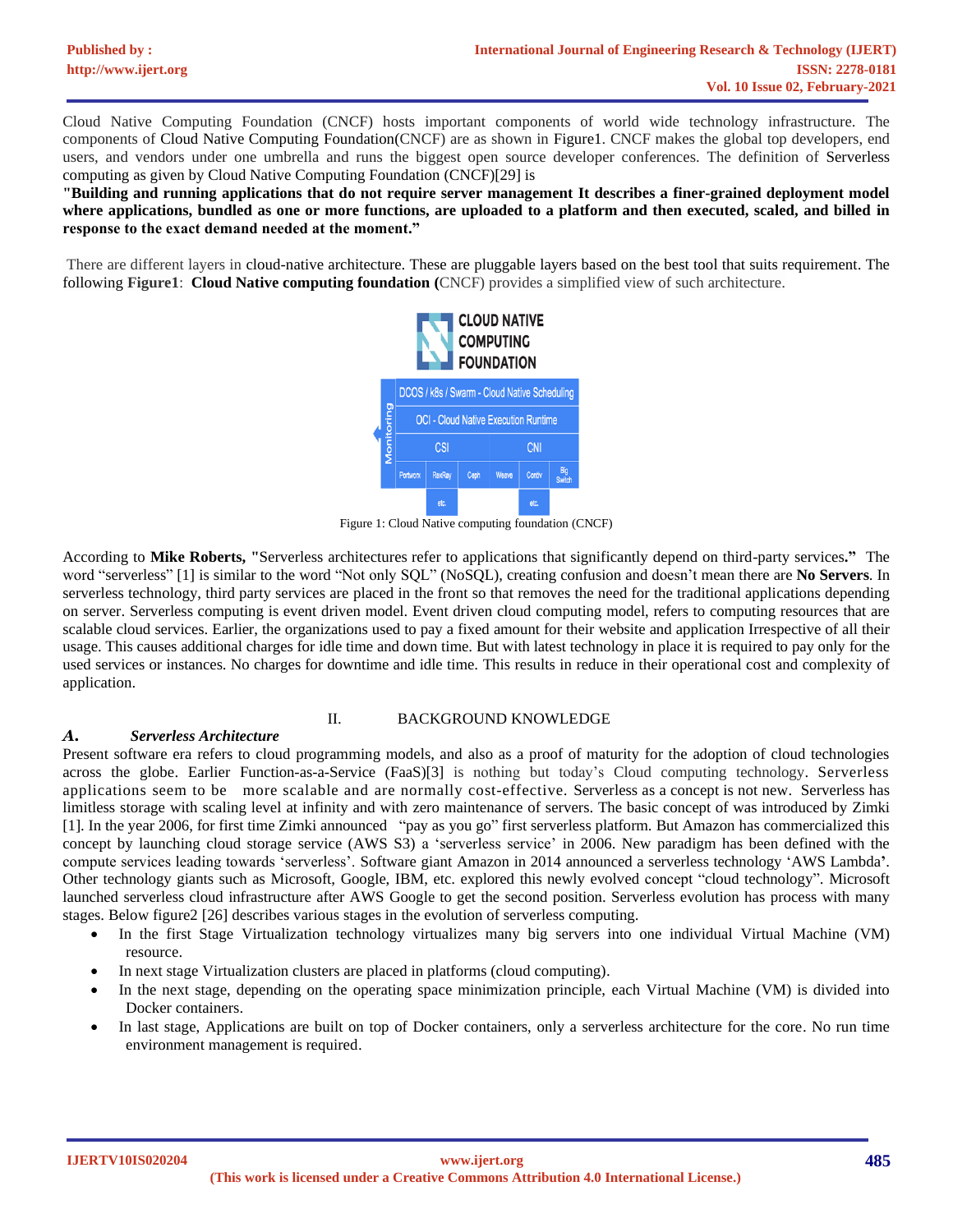Cloud Native Computing Foundation (CNCF) hosts important components of world wide technology infrastructure. The components of [Cloud Native Computing Foundation\(](https://www.cncf.io/)CNCF) are as shown in Figure1. CNCF makes the global top developers, end users, and vendors under one umbrella and runs the biggest open source developer conferences. The definition of Serverless computing as given b[y Cloud Native Computing Foundation](https://www.cncf.io/) (CNCF)[\[29\]](#page-12-1) is

**"Building and running applications that do not require server management It describes a finer-grained deployment model where applications, bundled as one or more functions, are uploaded to a platform and then executed, scaled, and billed in response to the exact demand needed at the moment."**

There are different layers in cloud-native architecture. These are pluggable layers based on the best tool that suits requirement. The following **Figure1**: **Cloud Native computing foundation (**CNCF) provides a simplified view of such architecture.



Figure 1: Cloud Native computing foundation (CNCF)

According to **Mike Roberts, "**Serverless architectures refer to applications that significantly depend on third-party services**."** The word "serverless" [\[1\]](#page-11-3) is similar to the word "Not only SQL" (NoSQL), creating confusion and doesn't mean there are **No Servers**. In serverless technology, third party services are placed in the front so that removes the need for the traditional applications depending on server. Serverless computing is event driven model. Event driven cloud computing model, refers to computing resources that are scalable cloud services. Earlier, the organizations used to pay a fixed amount for their website and application Irrespective of all their usage. This causes additional charges for idle time and down time. But with latest technology in place it is required to pay only for the used services or instances. No charges for downtime and idle time. This results in reduce in their operational cost and complexity of application.

#### II. BACKGROUND KNOWLEDGE

#### *A. Serverless Architecture*

Present software era refers to cloud programming models, and also as a proof of maturity for the adoption of cloud technologies across the globe. Earlier Function-as-a-Service (FaaS)[\[3\]](#page-11-4) is nothing but today's Cloud computing technology. Serverless applications seem to be more scalable and are normally cost-effective*.* Serverless as a concept is not new. Serverless has limitless storage with scaling level at infinity and with zero maintenance of servers. The basic concept of was introduced by Zimki [\[1\]](#page-11-3). In the year 2006, for first time Zimki announced "pay as you go" first serverless platform. But Amazon has commercialized this concept by launching cloud storage service (AWS S3) a 'serverless service' in 2006. New paradigm has been defined with the compute services leading towards 'serverless'. Software giant Amazon in 2014 announced a serverless technology 'AWS Lambda**'**. Other technology giants such as Microsoft, Google, IBM, etc. explored this newly evolved concept "cloud technology". Microsoft launched serverless cloud infrastructure after AWS Google to get the second position. Serverless evolution has process with many stages. Below figure2 [\[26\]](#page-12-2) describes various stages in the evolution of serverless computing.

- In the first Stage Virtualization technology virtualizes many big servers into one individual Virtual Machine (VM) resource.
- In next stage Virtualization clusters are placed in platforms (cloud computing).
- In the next stage, depending on the operating space minimization principle, each Virtual Machine (VM) is divided into Docker containers.
- In last stage, Applications are built on top of Docker containers, only a serverless architecture for the core. No run time environment management is required.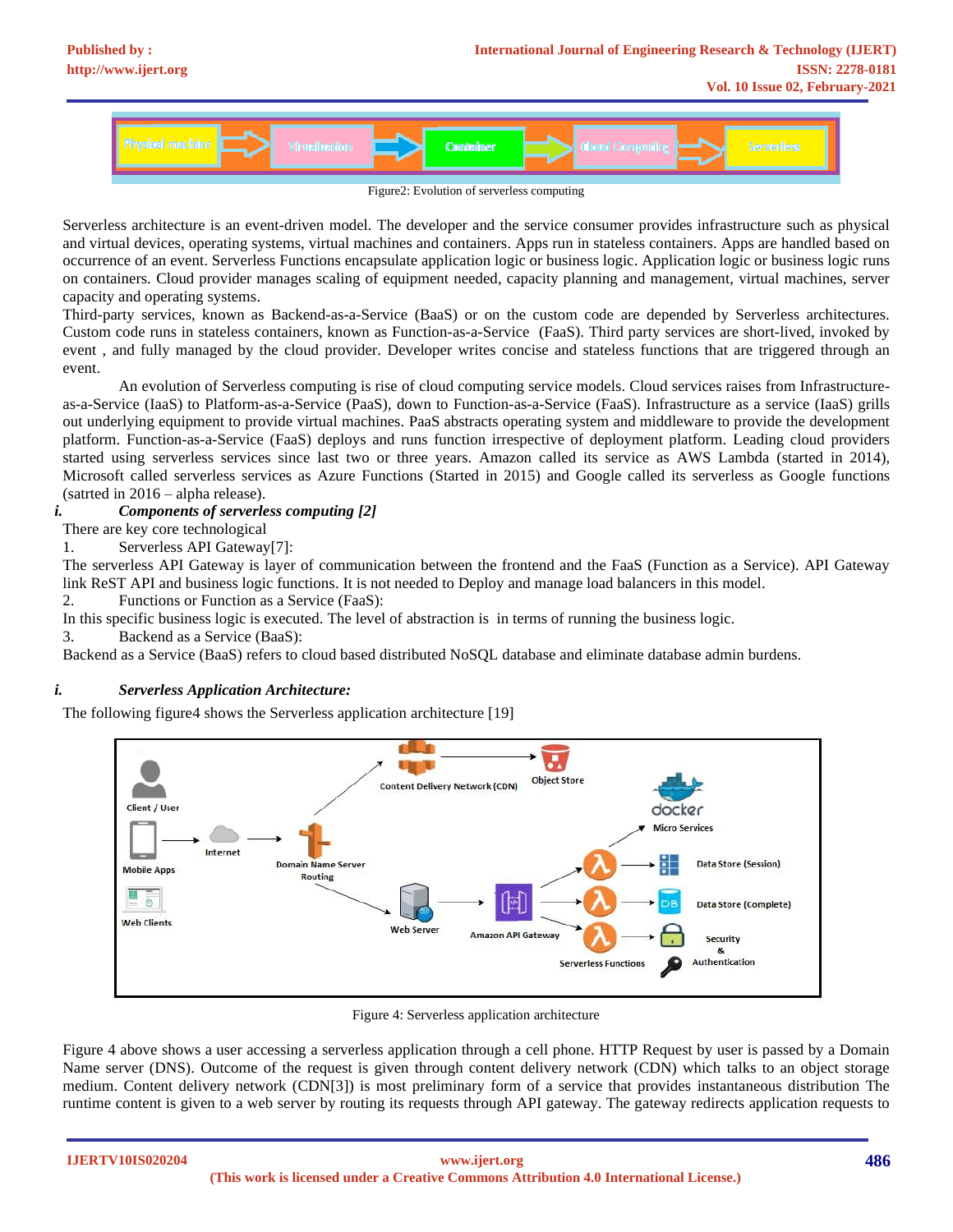

Serverless architecture is an event-driven model. The developer and the service consumer provides infrastructure such as physical and virtual devices, operating systems, virtual machines and containers. Apps run in stateless containers. Apps are handled based on occurrence of an event. Serverless Functions encapsulate application logic or business logic. Application logic or business logic runs on containers. Cloud provider manages scaling of equipment needed, capacity planning and management, virtual machines, server capacity and operating systems.

Third-party services, known as Backend-as-a-Service (BaaS) or on the custom code are depended by Serverless architectures. Custom code runs in stateless containers, known as Function-as-a-Service (FaaS). Third party services are short-lived, invoked by event , and fully managed by the cloud provider. Developer writes concise and stateless functions that are triggered through an event.

An evolution of Serverless computing is rise of cloud computing service models. Cloud services raises from Infrastructureas-a-Service (IaaS) to Platform-as-a-Service (PaaS), down to Function-as-a-Service (FaaS). Infrastructure as a service (IaaS) grills out underlying equipment to provide virtual machines. PaaS abstracts operating system and middleware to provide the development platform. Function-as-a-Service (FaaS) deploys and runs function irrespective of deployment platform. Leading cloud providers started using serverless services since last two or three years. Amazon called its service as AWS Lambda (started in 2014), Microsoft called serverless services as Azure Functions (Started in 2015) and Google called its serverless as Google functions (satrted in 2016 – alpha release).

*i. Components of serverless computing [\[2\]](#page-11-0)*

There are key core technological

1. Serverless API Gateway[\[7\]](#page-12-3):

The serverless API Gateway is layer of communication between the frontend and the FaaS (Function as a Service). API Gateway link ReST API and business logic functions. It is not needed to Deploy and manage load balancers in this model.

2. Functions or Function as a Service (FaaS):

In this specific business logic is executed. The level of abstraction is in terms of running the business logic.

3. Backend as a Service (BaaS):

Backend as a Service (BaaS) refers to cloud based distributed NoSQL database and eliminate database admin burdens.

# *i. Serverless Application Architecture:*

The following figure4 shows the Serverless application architecture [\[19\]](#page-12-4)



Figure 4: Serverless application architecture

Figure 4 above shows a user accessing a serverless application through a cell phone. HTTP Request by user is passed by a Domain Name server (DNS). Outcome of the request is given through content delivery network (CDN) which talks to an object storage medium. Content delivery network (CDN[\[3\]](#page-11-4)) is most preliminary form of a service that provides instantaneous distribution The runtime content is given to a web server by routing its requests through API gateway. The gateway redirects application requests to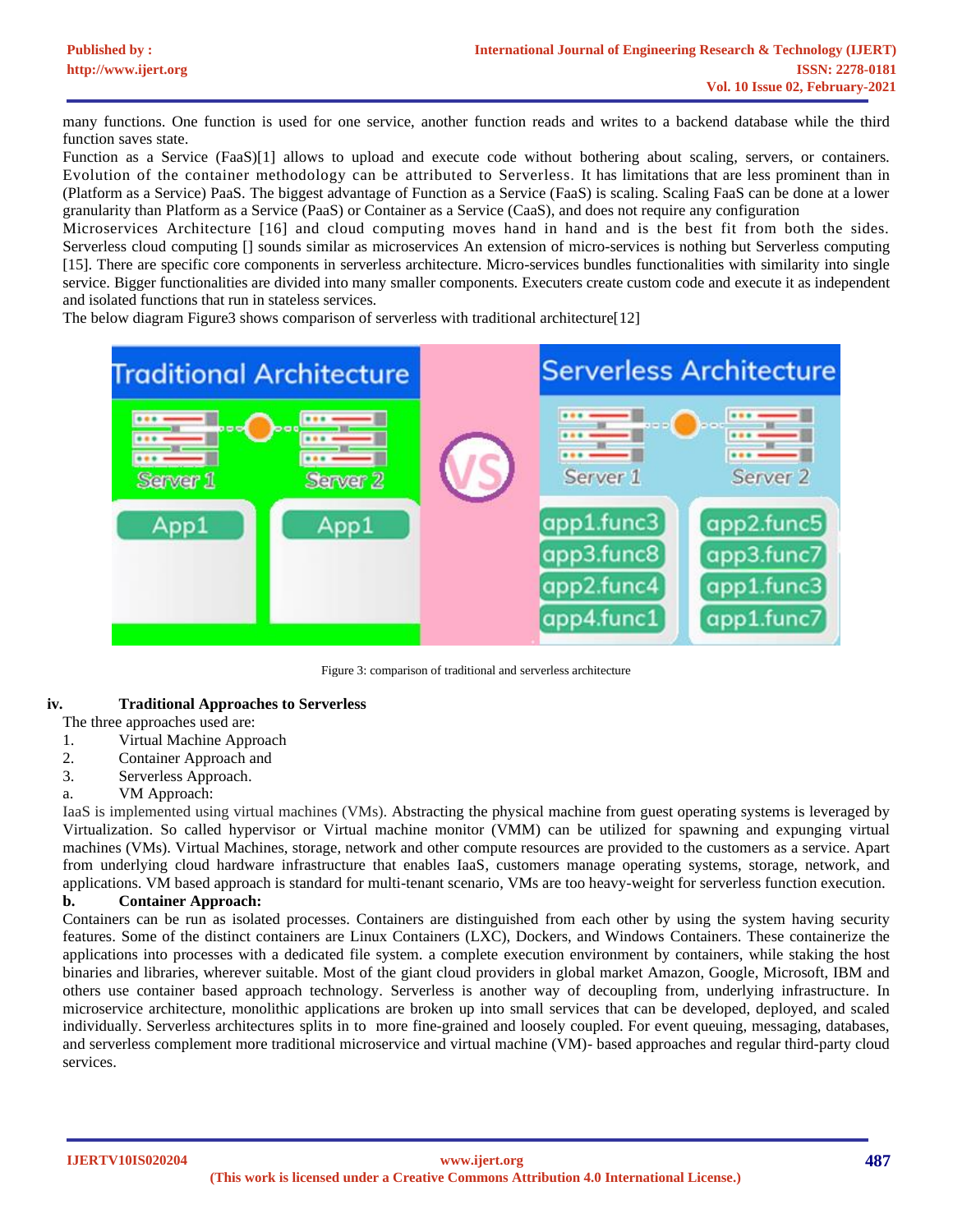many functions. One function is used for one service, another function reads and writes to a backend database while the third function saves state.

Function as a Service (FaaS)[\[1\]](#page-11-3) allows to upload and execute code without bothering about scaling, servers, or containers. Evolution of the container methodology can be attributed to Serverless. It has limitations that are less prominent than in (Platform as a Service) PaaS. The biggest advantage of Function as a Service (FaaS) is scaling. Scaling FaaS can be done at a lower granularity than Platform as a Service (PaaS) or Container as a Service (CaaS), and does not require any configuration

Microservices Architecture [\[16\]](#page-12-0) and cloud computing moves hand in hand and is the best fit from both the sides. Serverless cloud computing [] sounds similar as microservices An extension of micro-services is nothing but Serverless computing [\[15\]](#page-12-5). There are specific core components in serverless architecture. Micro-services bundles functionalities with similarity into single service. Bigger functionalities are divided into many smaller components. Executers create custom code and execute it as independent and isolated functions that run in stateless services.

The below diagram Figure3 shows comparison of serverless with traditional architecture[\[12\]](#page-12-6)



Figure 3: comparison of traditional and serverless architecture

# **iv. Traditional Approaches to Serverless**

The three approaches used are:

- 1. Virtual Machine Approach
- 2. Container Approach and
- 3. Serverless Approach.
- a. VM Approach:

IaaS is implemented using virtual machines (VMs). Abstracting the physical machine from guest operating systems is leveraged by Virtualization. So called hypervisor or Virtual machine monitor (VMM) can be utilized for spawning and expunging virtual machines (VMs). Virtual Machines, storage, network and other compute resources are provided to the customers as a service. Apart from underlying cloud hardware infrastructure that enables IaaS, customers manage operating systems, storage, network, and applications. VM based approach is standard for multi-tenant scenario, VMs are too heavy-weight for serverless function execution.

# **b. Container Approach:**

Containers can be run as isolated processes. Containers are distinguished from each other by using the system having security features. Some of the distinct containers are Linux Containers (LXC), Dockers, and Windows Containers. These containerize the applications into processes with a dedicated file system. a complete execution environment by containers, while staking the host binaries and libraries, wherever suitable. Most of the giant cloud providers in global market Amazon, Google, Microsoft, IBM and others use container based approach technology. Serverless is another way of decoupling from, underlying infrastructure. In microservice architecture, monolithic applications are broken up into small services that can be developed, deployed, and scaled individually. Serverless architectures splits in to more fine-grained and loosely coupled. For event queuing, messaging, databases, and serverless complement more traditional microservice and virtual machine (VM)- based approaches and regular third-party cloud services.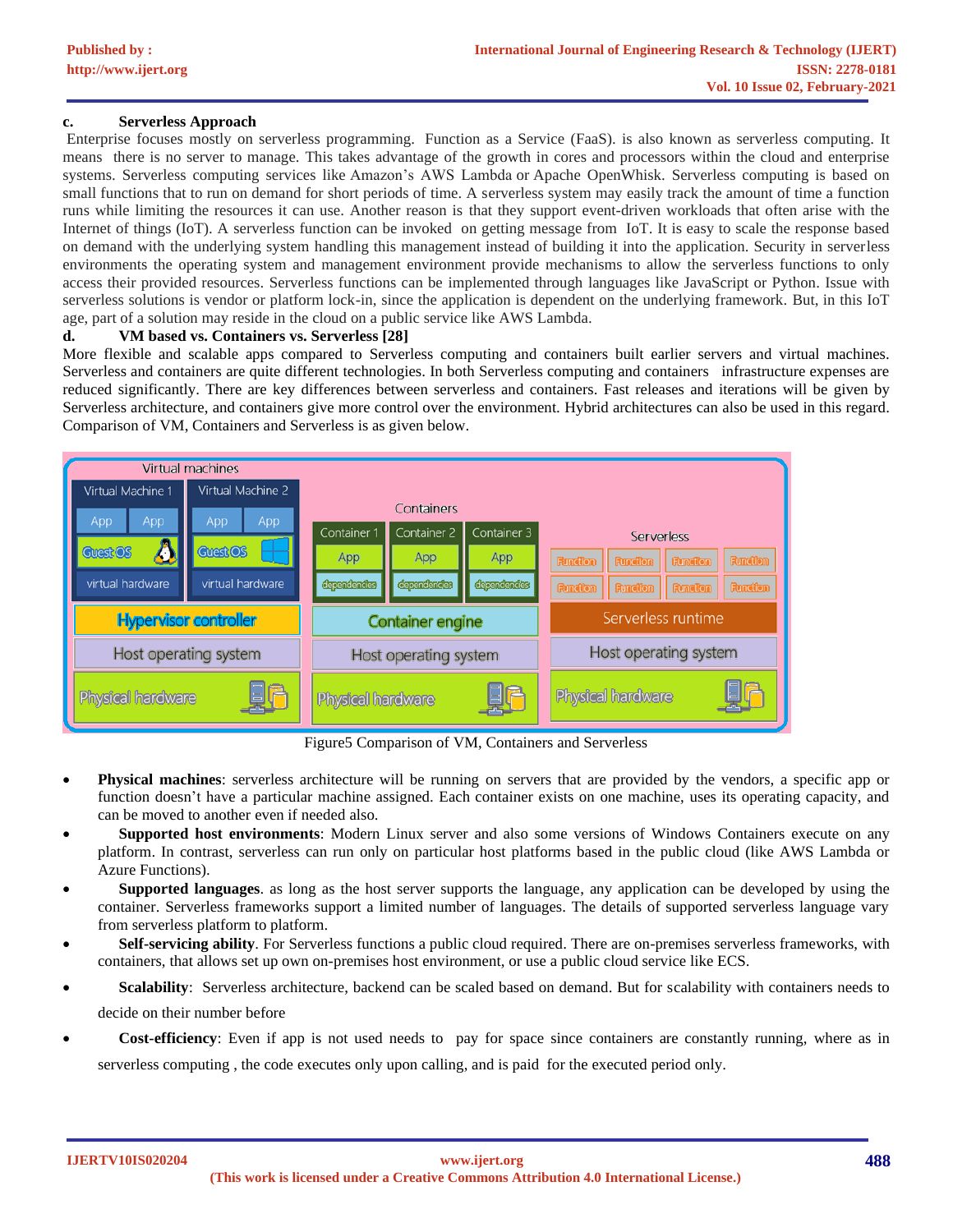# **c. Serverless Approach**

Enterprise focuses mostly on serverless programming. Function as a Service (FaaS). is also known as serverless computing. It means there is no server to manage. This takes advantage of the growth in cores and processors within the cloud and enterprise systems. Serverless computing services like Amazon's AWS Lambda or Apache OpenWhisk. Serverless computing is based on small functions that to run on demand for short periods of time. A serverless system may easily track the amount of time a function runs while limiting the resources it can use. Another reason is that they support event-driven workloads that often arise with the Internet of things (IoT). A serverless function can be invoked on getting message from IoT. It is easy to scale the response based on demand with the underlying system handling this management instead of building it into the application. Security in serverless environments the operating system and management environment provide mechanisms to allow the serverless functions to only access their provided resources. Serverless functions can be implemented through languages like JavaScript or Python. Issue with serverless solutions is vendor or platform lock-in, since the application is dependent on the underlying framework. But, in this IoT age, part of a solution may reside in the cloud on a public service like AWS Lambda.

#### **d. VM based vs. Containers vs. Serverless [\[28\]](#page-12-7)**

More flexible and scalable apps compared to Serverless computing and containers built earlier servers and virtual machines. Serverless and containers are quite different technologies. In both Serverless computing and containers infrastructure expenses are reduced significantly. There are key differences between serverless and containers. Fast releases and iterations will be given by Serverless architecture, and containers give more control over the environment. Hybrid architectures can also be used in this regard. Comparison of VM, Containers and Serverless is as given below.



Figure5 Comparison of VM, Containers and Serverless

- **Physical machines**: serverless architecture will be running on servers that are provided by the vendors, a specific app or function doesn't have a particular machine assigned. Each container exists on one machine, uses its operating capacity, and can be moved to another even if needed also.
- **Supported host environments**: Modern Linux server and also some versions of Windows Containers execute on any platform. In contrast, serverless can run only on particular host platforms based in the public cloud (like AWS Lambda or Azure Functions).
- **Supported languages**. as long as the host server supports the language, any application can be developed by using the container. Serverless frameworks support a limited number of languages. The details of supported serverless language vary from serverless platform to platform.
- **Self-servicing ability**. For Serverless functions a public cloud required. There are on-premises serverless frameworks, with containers, that allows set up own on-premises host environment, or use a public cloud service like ECS.
- **Scalability**: Serverless architecture, backend can be scaled based on demand. But for scalability with containers needs to decide on their number before
- **Cost-efficiency**: Even if app is not used needs to pay for space since containers are constantly running, where as in serverless computing , the code executes only upon calling, and is paid for the executed period only.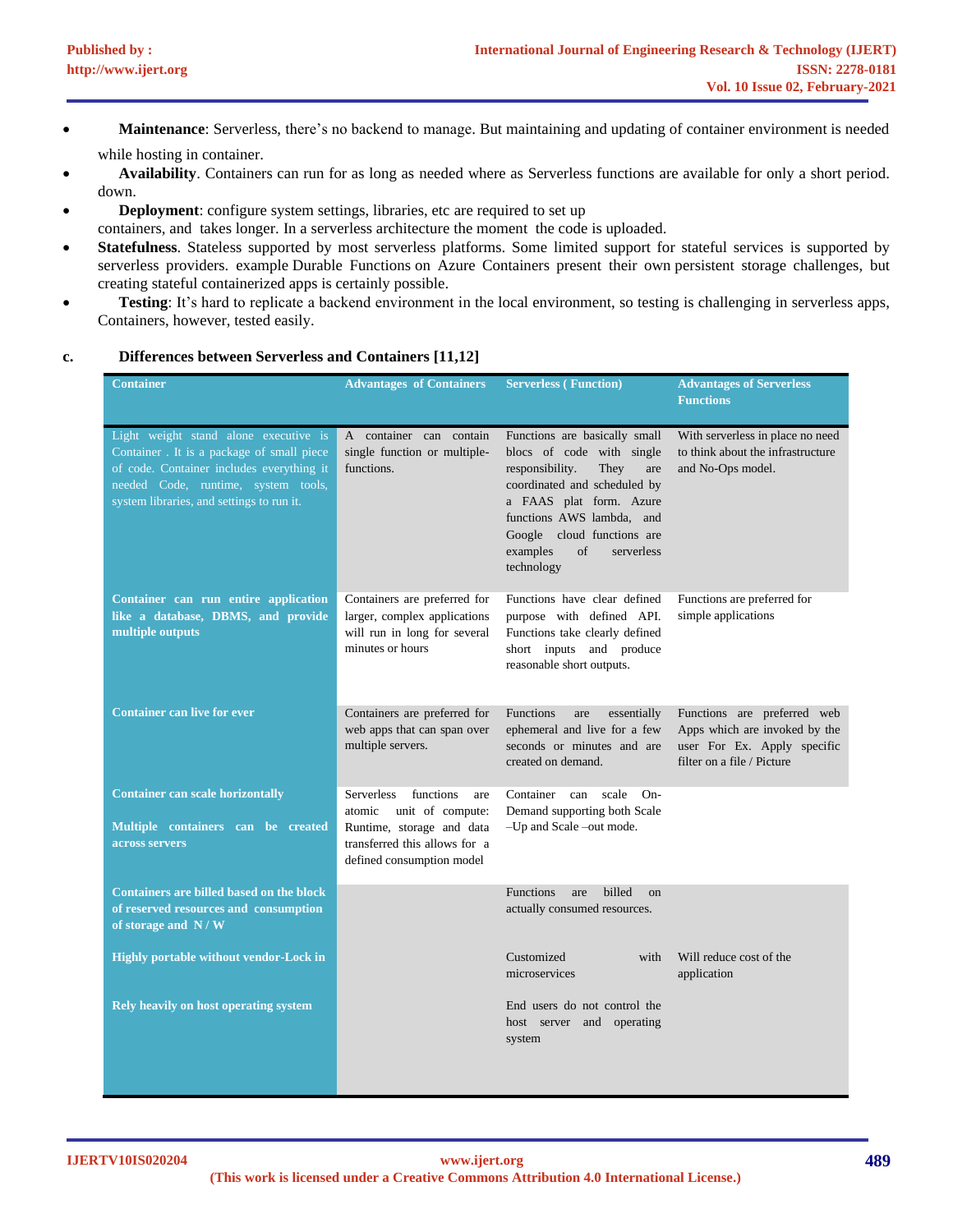- **Maintenance**: Serverless, there's no backend to manage. But maintaining and updating of container environment is needed while hosting in container.
- **Availability**. Containers can run for as long as needed where as Serverless functions are available for only a short period. down.
- **Deployment**: configure system settings, libraries, etc are required to set up containers, and takes longer. In a serverless architecture the moment the code is uploaded.
- **Statefulness**. Stateless supported by most serverless platforms. Some limited support for stateful services is supported by serverless providers. example [Durable Functions](https://docs.microsoft.com/en-us/azure/azure-functions/durable-functions-overview) on Azure Containers present their own [persistent storage challenges,](https://www.sumologic.com/blog/managing-container-data-using-docker-data-volumes/) but creating stateful containerized apps is certainly possible.
- **Testing**: It's hard to replicate a backend environment in the local environment, so testing is challenging in serverless apps, Containers, however, tested easily.

| <b>Container</b>                                                                                                                                                                                                     | <b>Advantages of Containers</b>                                                                                                                         | <b>Serverless (Function)</b>                                                                                                                                                                                                                                             | <b>Advantages of Serverless</b><br><b>Functions</b>                                                                       |
|----------------------------------------------------------------------------------------------------------------------------------------------------------------------------------------------------------------------|---------------------------------------------------------------------------------------------------------------------------------------------------------|--------------------------------------------------------------------------------------------------------------------------------------------------------------------------------------------------------------------------------------------------------------------------|---------------------------------------------------------------------------------------------------------------------------|
| Light weight stand alone executive is<br>Container . It is a package of small piece<br>of code. Container includes everything it<br>needed Code, runtime, system tools,<br>system libraries, and settings to run it. | A container can contain<br>single function or multiple-<br>functions.                                                                                   | Functions are basically small<br>blocs of code with single<br>responsibility.<br>They<br>are<br>coordinated and scheduled by<br>a FAAS plat form. Azure<br>functions AWS lambda, and<br>Google cloud functions are<br>examples<br>$\sigma$ f<br>serverless<br>technology | With serverless in place no need<br>to think about the infrastructure<br>and No-Ops model.                                |
| Container can run entire application<br>like a database, DBMS, and provide<br>multiple outputs                                                                                                                       | Containers are preferred for<br>larger, complex applications<br>will run in long for several<br>minutes or hours                                        | Functions have clear defined<br>purpose with defined API.<br>Functions take clearly defined<br>short inputs and produce<br>reasonable short outputs.                                                                                                                     | Functions are preferred for<br>simple applications                                                                        |
| <b>Container can live for ever</b>                                                                                                                                                                                   | Containers are preferred for<br>web apps that can span over<br>multiple servers.                                                                        | <b>Functions</b><br>essentially<br>are<br>ephemeral and live for a few<br>seconds or minutes and are<br>created on demand.                                                                                                                                               | Functions are preferred web<br>Apps which are invoked by the<br>user For Ex. Apply specific<br>filter on a file / Picture |
| <b>Container can scale horizontally</b><br>Multiple containers can be created<br>across servers                                                                                                                      | Serverless<br>functions<br>are<br>atomic<br>unit of compute:<br>Runtime, storage and data<br>transferred this allows for a<br>defined consumption model | Container can scale<br>$On-$<br>Demand supporting both Scale<br>-Up and Scale -out mode.                                                                                                                                                                                 |                                                                                                                           |
| <b>Containers are billed based on the block</b><br>of reserved resources and consumption<br>of storage and $N/\overline{W}$                                                                                          |                                                                                                                                                         | <b>Functions</b><br>billed<br>are<br>$_{\rm on}$<br>actually consumed resources.                                                                                                                                                                                         |                                                                                                                           |
| Highly portable without vendor-Lock in                                                                                                                                                                               |                                                                                                                                                         | Customized<br>with<br>microservices                                                                                                                                                                                                                                      | Will reduce cost of the<br>application                                                                                    |
| <b>Rely heavily on host operating system</b>                                                                                                                                                                         |                                                                                                                                                         | End users do not control the<br>host server and operating<br>system                                                                                                                                                                                                      |                                                                                                                           |

# **c. Differences between Serverless and Containers [\[11](#page-12-8)[,12\]](#page-12-6)**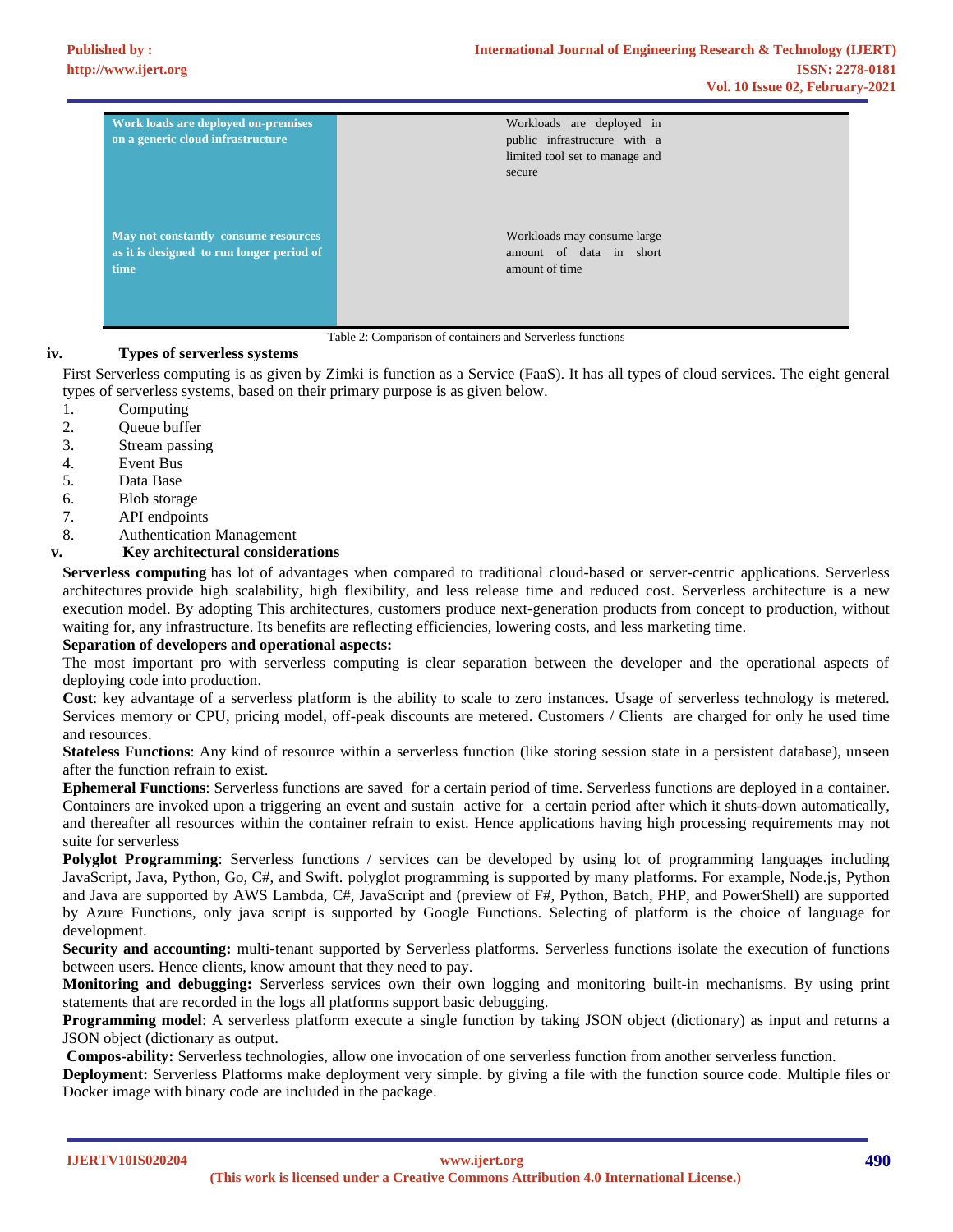| Work loads are deployed on-premises<br>on a generic cloud infrastructure | Workloads are deployed in<br>public infrastructure with a<br>limited tool set to manage and<br>secure |
|--------------------------------------------------------------------------|-------------------------------------------------------------------------------------------------------|
| May not constantly consume resources                                     | Workloads may consume large                                                                           |
| as it is designed to run longer period of                                | amount of data in short                                                                               |
| time                                                                     | amount of time                                                                                        |

Table 2: Comparison of containers and Serverless functions

#### **iv. Types of serverless systems**

First Serverless computing is as given by Zimki is function as a Service (FaaS). It has all types of cloud services. The eight general types of serverless systems, based on their primary purpose is as given below.

- 1. Computing
- 2. Queue buffer
- 3. Stream passing
- 4. Event Bus
- 5. Data Base
- 6. Blob storage
- 7. API endpoints
- 8. Authentication Management

#### **v. Key architectural considerations**

**Serverless computing** has lot of advantages when compared to traditional cloud-based or server-centric applications. Serverless architectures provide high scalability, high flexibility, and less release time and reduced cost. Serverless architecture is a new execution model. By adopting This architectures, customers produce next-generation products from concept to production, without waiting for, any infrastructure. Its benefits are reflecting efficiencies, lowering costs, and less marketing time.

#### **Separation of developers and operational aspects:**

The most important pro with serverless computing is clear separation between the developer and the operational aspects of deploying code into production.

**Cost**: key advantage of a serverless platform is the ability to scale to zero instances. Usage of serverless technology is metered. Services memory or CPU, pricing model, off-peak discounts are metered. Customers / Clients are charged for only he used time and resources.

**Stateless Functions**: Any kind of resource within a serverless function (like storing session state in a persistent database), unseen after the function refrain to exist.

**Ephemeral Functions**: Serverless functions are saved for a certain period of time. Serverless functions are deployed in a container. Containers are invoked upon a triggering an event and sustain active for a certain period after which it shuts-down automatically, and thereafter all resources within the container refrain to exist. Hence applications having high processing requirements may not suite for serverless

**Polyglot Programming**: Serverless functions / services can be developed by using lot of programming languages including JavaScript, Java, Python, Go, C#, and Swift. polyglot programming is supported by many platforms. For example, Node.js, Python and Java are supported by AWS Lambda, C#, JavaScript and (preview of F#, Python, Batch, PHP, and PowerShell) are supported by Azure Functions, only java script is supported by Google Functions. Selecting of platform is the choice of language for development.

**Security and accounting:** multi-tenant supported by Serverless platforms. Serverless functions isolate the execution of functions between users. Hence clients, know amount that they need to pay.

**Monitoring and debugging:** Serverless services own their own logging and monitoring built-in mechanisms. By using print statements that are recorded in the logs all platforms support basic debugging.

**Programming model**: A serverless platform execute a single function by taking JSON object (dictionary) as input and returns a JSON object (dictionary as output.

**Compos-ability:** Serverless technologies, allow one invocation of one serverless function from another serverless function.

**Deployment:** Serverless Platforms make deployment very simple. by giving a file with the function source code. Multiple files or Docker image with binary code are included in the package.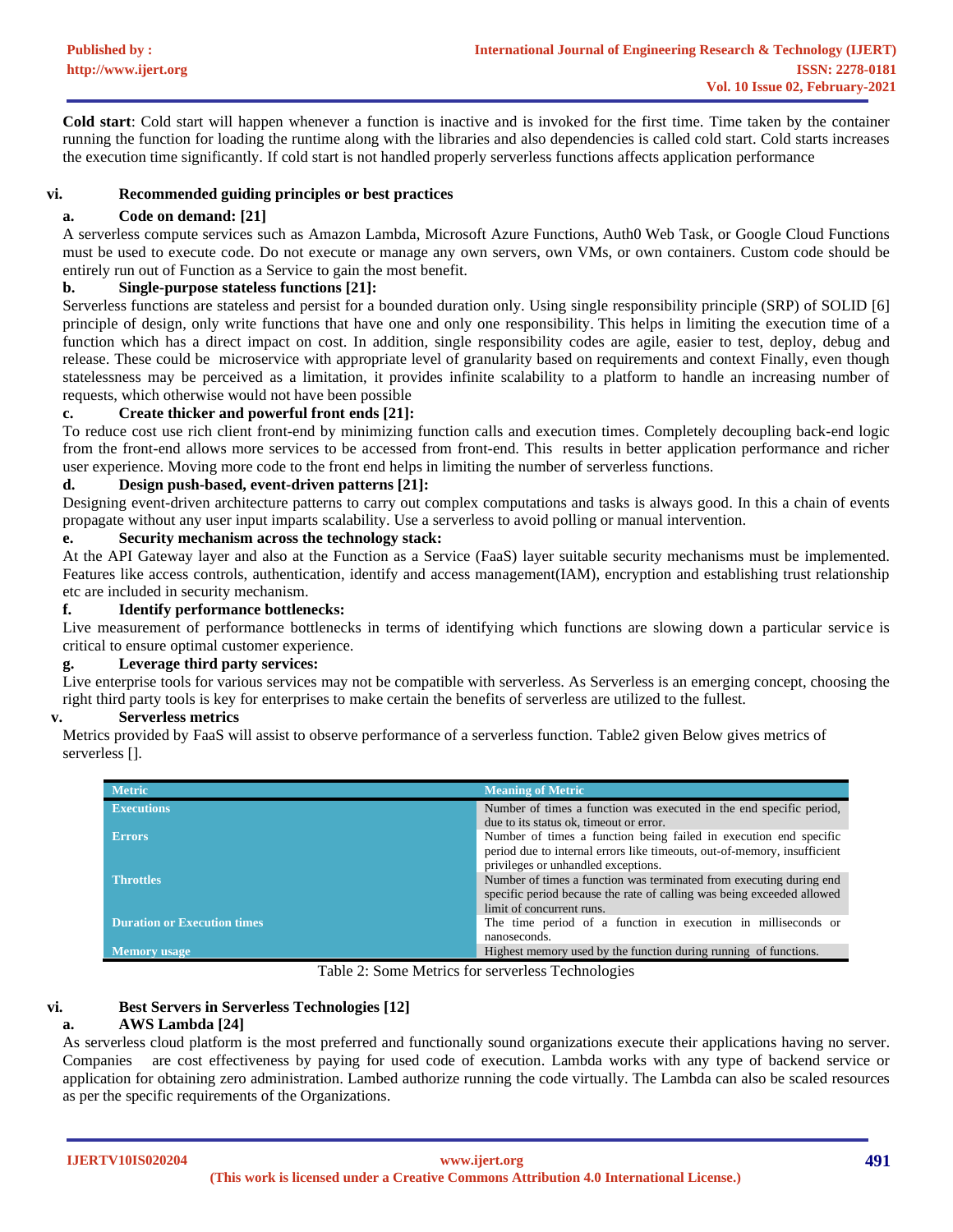**Cold start**: Cold start will happen whenever a function is inactive and is invoked for the first time. Time taken by the container running the function for loading the runtime along with the libraries and also dependencies is called cold start. Cold starts increases the execution time significantly. If cold start is not handled properly serverless functions affects application performance

# **vi. Recommended guiding principles or best practices**

## **a. Code on demand: [\[21\]](#page-12-9)**

A serverless compute services such as Amazon Lambda, Microsoft Azure Functions, Auth0 Web Task, or Google Cloud Functions must be used to execute code. Do not execute or manage any own servers, own VMs, or own containers. Custom code should be entirely run out of Function as a Service to gain the most benefit.

## **b. Single-purpose stateless functions [\[21\]](#page-12-9):**

Serverless functions are stateless and persist for a bounded duration only. Using single responsibility principle (SRP) of SOLID [\[6\]](#page-12-10) principle of design, only write functions that have one and only one responsibility. This helps in limiting the execution time of a function which has a direct impact on cost. In addition, single responsibility codes are agile, easier to test, deploy, debug and release. These could be microservice with appropriate level of granularity based on requirements and context Finally, even though statelessness may be perceived as a limitation, it provides infinite scalability to a platform to handle an increasing number of requests, which otherwise would not have been possible

#### **c. Create thicker and powerful front ends [\[21\]](#page-12-9):**

To reduce cost use rich client front-end by minimizing function calls and execution times. Completely decoupling back-end logic from the front-end allows more services to be accessed from front-end. This results in better application performance and richer user experience. Moving more code to the front end helps in limiting the number of serverless functions.

#### **d. Design push-based, event-driven patterns [\[21\]](#page-12-9):**

Designing event-driven architecture patterns to carry out complex computations and tasks is always good. In this a chain of events propagate without any user input imparts scalability. Use a serverless to avoid polling or manual intervention.

## **e. Security mechanism across the technology stack:**

At the API Gateway layer and also at the Function as a Service (FaaS) layer suitable security mechanisms must be implemented. Features like access controls, authentication, identify and access management(IAM), encryption and establishing trust relationship etc are included in security mechanism.

## **f. Identify performance bottlenecks:**

Live measurement of performance bottlenecks in terms of identifying which functions are slowing down a particular service is critical to ensure optimal customer experience.

# **g. Leverage third party services:**

Live enterprise tools for various services may not be compatible with serverless. As Serverless is an emerging concept, choosing the right third party tools is key for enterprises to make certain the benefits of serverless are utilized to the fullest.

#### **v. Serverless metrics**

Metrics provided by FaaS will assist to observe performance of a serverless function. Table2 given Below gives metrics of serverless [].

| <b>Metric</b>                      | <b>Meaning of Metric</b>                                                                                                                                                   |  |
|------------------------------------|----------------------------------------------------------------------------------------------------------------------------------------------------------------------------|--|
| <b>Executions</b>                  | Number of times a function was executed in the end specific period,                                                                                                        |  |
|                                    | due to its status ok, timeout or error.                                                                                                                                    |  |
| <b>Errors</b>                      | Number of times a function being failed in execution end specific<br>period due to internal errors like timeouts, out-of-memory, insufficient                              |  |
|                                    | privileges or unhandled exceptions.                                                                                                                                        |  |
| <b>Throttles</b>                   | Number of times a function was terminated from executing during end<br>specific period because the rate of calling was being exceeded allowed<br>limit of concurrent runs. |  |
| <b>Duration or Execution times</b> | The time period of a function in execution in milliseconds or<br>nanoseconds.                                                                                              |  |
| Memory usage                       | Highest memory used by the function during running of functions.                                                                                                           |  |

Table 2: Some Metrics for serverless Technologies

# **vi. Best Servers in Serverless Technologies [\[12\]](#page-11-3)**

# **a. AWS Lambda [\[24\]](#page-12-11)**

As serverless cloud platform is the most preferred and functionally sound organizations execute their applications having no server. Companies are cost effectiveness by paying for used code of execution. Lambda works with any type of backend service or application for obtaining zero administration. Lambed authorize running the code virtually. The Lambda can also be scaled resources as per the specific requirements of the Organizations.

**IJERTV10IS020204**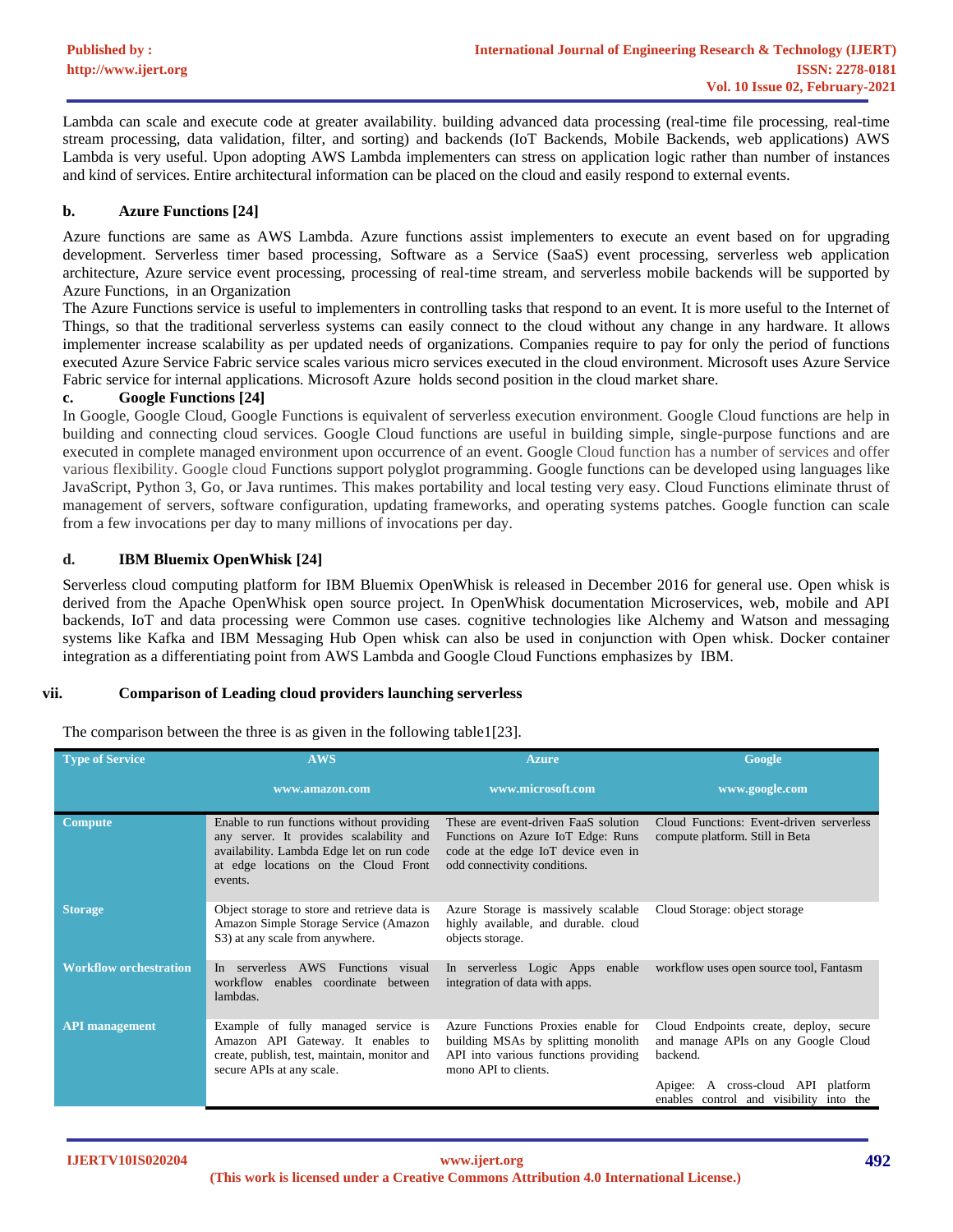Lambda can scale and execute code at greater availability. building advanced data processing (real-time file processing, real-time stream processing, data validation, filter, and sorting) and backends (IoT Backends, Mobile Backends, web applications) AWS Lambda is very useful. Upon adopting AWS Lambda implementers can stress on application logic rather than number of instances and kind of services. Entire architectural information can be placed on the cloud and easily respond to external events.

## **b. Azure Functions [\[24\]](#page-12-11)**

Azure functions are same as AWS Lambda. Azure functions assist implementers to execute an event based on for upgrading development. Serverless timer based processing, Software as a Service (SaaS) event processing, serverless web application architecture, Azure service event processing, processing of real-time stream, and serverless mobile backends will be supported by Azure Functions, in an Organization

The Azure Functions service is useful to implementers in controlling tasks that respond to an event. It is more useful to the Internet of Things, so that the traditional serverless systems can easily connect to the cloud without any change in any hardware. It allows implementer increase scalability as per updated needs of organizations. Companies require to pay for only the period of functions executed Azure Service Fabric service scales various micro services executed in the cloud environment. Microsoft uses Azure Service Fabric service for internal applications. Microsoft Azure holds second position in the cloud market share.

#### **c. Google Functions [\[24\]](#page-12-11)**

In Google, Google Cloud, Google Functions is equivalent of serverless execution environment. Google Cloud functions are help in building and connecting cloud services. Google Cloud functions are useful in building simple, single-purpose functions and are executed in complete managed environment upon occurrence of an event. Google Cloud function has a number of services and offer various flexibility. Google cloud Functions support polyglot programming. Google functions can be developed using languages like JavaScript, Python 3, Go, or Java runtimes. This makes portability and local testing very easy. Cloud Functions eliminate thrust of management of servers, software configuration, updating frameworks, and operating systems patches. Google function can scale from a few invocations per day to many millions of invocations per day.

#### **d. IBM Bluemix OpenWhisk [\[24\]](#page-12-11)**

Serverless cloud computing platform for IBM Bluemix OpenWhisk is released in December 2016 for general use. Open whisk is derived from the Apache OpenWhisk open source project. In OpenWhisk documentation Microservices, web, mobile and API backends, IoT and data processing were Common use cases. cognitive technologies like Alchemy and Watson and messaging systems like Kafka and IBM Messaging Hub Open whisk can also be used in conjunction with Open whisk. Docker container integration as a differentiating point from AWS Lambda and Google Cloud Functions emphasizes by IBM.

# **vii. Comparison of Leading cloud providers launching serverless**

The comparison between the three is as given in the following table1[\[23\]](#page-12-12).

| <b>Type of Service</b>        | <b>AWS</b>                                                                                                                                                                           | <b>Azure</b>                                                                                                                                     | Google                                                                                                                             |
|-------------------------------|--------------------------------------------------------------------------------------------------------------------------------------------------------------------------------------|--------------------------------------------------------------------------------------------------------------------------------------------------|------------------------------------------------------------------------------------------------------------------------------------|
|                               | www.amazon.com                                                                                                                                                                       | www.microsoft.com                                                                                                                                | www.google.com                                                                                                                     |
| <b>Compute</b>                | Enable to run functions without providing<br>any server. It provides scalability and<br>availability. Lambda Edge let on run code<br>at edge locations on the Cloud Front<br>events. | These are event-driven FaaS solution<br>Functions on Azure IoT Edge: Runs<br>code at the edge IoT device even in<br>odd connectivity conditions. | Cloud Functions: Event-driven serverless<br>compute platform. Still in Beta                                                        |
| <b>Storage</b>                | Object storage to store and retrieve data is<br>Amazon Simple Storage Service (Amazon<br>S3) at any scale from anywhere.                                                             | Azure Storage is massively scalable<br>highly available, and durable. cloud<br>objects storage.                                                  | Cloud Storage: object storage                                                                                                      |
| <b>Workflow orchestration</b> | serverless AWS<br>Functions visual<br>In<br>workflow<br>enables coordinate between<br>lambdas.                                                                                       | In serverless Logic Apps enable<br>integration of data with apps.                                                                                | workflow uses open source tool, Fantasm                                                                                            |
| <b>API</b> management         | Example of fully managed service is<br>Amazon API Gateway. It enables to<br>create, publish, test, maintain, monitor and<br>secure APIs at any scale.                                | Azure Functions Proxies enable for<br>building MSAs by splitting monolith<br>API into various functions providing<br>mono API to clients.        | Cloud Endpoints create, deploy, secure<br>and manage APIs on any Google Cloud<br>backend.<br>A cross-cloud API platform<br>Apigee: |
|                               |                                                                                                                                                                                      |                                                                                                                                                  | enables control and visibility into the                                                                                            |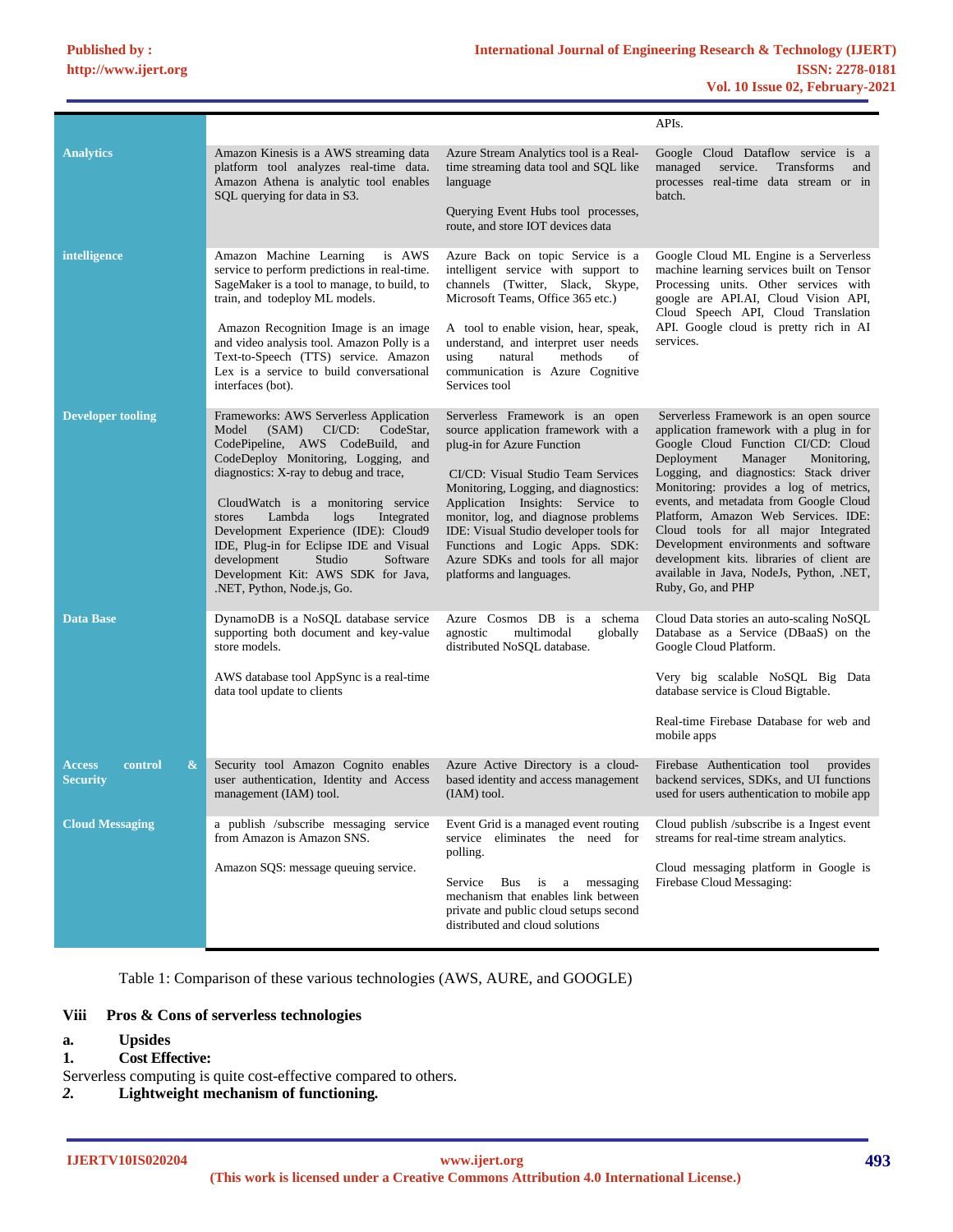|                                                     |                                                                                                                                                                                                                                                                                                                                                                                                                                                                                           |                                                                                                                                                                                                                                                                                                                                                                                                              | APIs.                                                                                                                                                                                                                                                                                                                                                                                                                                                                                                                                |
|-----------------------------------------------------|-------------------------------------------------------------------------------------------------------------------------------------------------------------------------------------------------------------------------------------------------------------------------------------------------------------------------------------------------------------------------------------------------------------------------------------------------------------------------------------------|--------------------------------------------------------------------------------------------------------------------------------------------------------------------------------------------------------------------------------------------------------------------------------------------------------------------------------------------------------------------------------------------------------------|--------------------------------------------------------------------------------------------------------------------------------------------------------------------------------------------------------------------------------------------------------------------------------------------------------------------------------------------------------------------------------------------------------------------------------------------------------------------------------------------------------------------------------------|
| <b>Analytics</b>                                    | Amazon Kinesis is a AWS streaming data<br>platform tool analyzes real-time data.<br>Amazon Athena is analytic tool enables<br>SQL querying for data in S3.                                                                                                                                                                                                                                                                                                                                | Azure Stream Analytics tool is a Real-<br>time streaming data tool and SQL like<br>language<br>Querying Event Hubs tool processes,<br>route, and store IOT devices data                                                                                                                                                                                                                                      | Google Cloud Dataflow service is a<br>managed<br>service.<br><b>Transforms</b><br>and<br>processes real-time data stream or in<br>batch.                                                                                                                                                                                                                                                                                                                                                                                             |
| intelligence                                        | Amazon Machine Learning<br>is AWS<br>service to perform predictions in real-time.<br>SageMaker is a tool to manage, to build, to<br>train, and todeploy ML models.<br>Amazon Recognition Image is an image<br>and video analysis tool. Amazon Polly is a<br>Text-to-Speech (TTS) service. Amazon<br>Lex is a service to build conversational<br>interfaces (bot).                                                                                                                         | Azure Back on topic Service is a<br>intelligent service with support to<br>channels (Twitter, Slack, Skype,<br>Microsoft Teams, Office 365 etc.)<br>A tool to enable vision, hear, speak,<br>understand, and interpret user needs<br>using<br>natural<br>of<br>methods<br>communication is Azure Cognitive<br>Services tool                                                                                  | Google Cloud ML Engine is a Serverless<br>machine learning services built on Tensor<br>Processing units. Other services with<br>google are API.AI, Cloud Vision API,<br>Cloud Speech API, Cloud Translation<br>API. Google cloud is pretty rich in AI<br>services.                                                                                                                                                                                                                                                                   |
| <b>Developer tooling</b>                            | Frameworks: AWS Serverless Application<br>(SAM)<br>$C V C D$ :<br>CodeStar,<br>Model<br>CodePipeline, AWS CodeBuild, and<br>CodeDeploy Monitoring, Logging, and<br>diagnostics: X-ray to debug and trace,<br>CloudWatch is a monitoring service<br>Lambda<br>$\log s$<br>Integrated<br>stores<br>Development Experience (IDE): Cloud9<br>IDE, Plug-in for Eclipse IDE and Visual<br>development<br>Studio<br>Software<br>Development Kit: AWS SDK for Java,<br>.NET, Python, Node.js, Go. | Serverless Framework is an open<br>source application framework with a<br>plug-in for Azure Function<br>CI/CD: Visual Studio Team Services<br>Monitoring, Logging, and diagnostics:<br>Application Insights: Service to<br>monitor, log, and diagnose problems<br>IDE: Visual Studio developer tools for<br>Functions and Logic Apps. SDK:<br>Azure SDKs and tools for all major<br>platforms and languages. | Serverless Framework is an open source<br>application framework with a plug in for<br>Google Cloud Function CI/CD: Cloud<br>Deployment<br>Manager<br>Monitoring,<br>Logging, and diagnostics: Stack driver<br>Monitoring: provides a log of metrics,<br>events, and metadata from Google Cloud<br>Platform, Amazon Web Services. IDE:<br>Cloud tools for all major Integrated<br>Development environments and software<br>development kits. libraries of client are<br>available in Java, NodeJs, Python, .NET,<br>Ruby, Go, and PHP |
| <b>Data Base</b>                                    | DynamoDB is a NoSQL database service<br>supporting both document and key-value<br>store models.<br>AWS database tool AppSync is a real-time<br>data tool update to clients                                                                                                                                                                                                                                                                                                                | Azure Cosmos DB is a schema<br>agnostic<br>multimodal<br>globally<br>distributed NoSQL database.                                                                                                                                                                                                                                                                                                             | Cloud Data stories an auto-scaling NoSQL<br>Database as a Service (DBaaS) on the<br>Google Cloud Platform.<br>Very big scalable NoSQL Big Data<br>database service is Cloud Bigtable.<br>Real-time Firebase Database for web and<br>mobile apps                                                                                                                                                                                                                                                                                      |
| $\&$<br>control<br><b>Access</b><br><b>Security</b> | Security tool Amazon Cognito enables<br>user authentication, Identity and Access<br>management (IAM) tool.                                                                                                                                                                                                                                                                                                                                                                                | Azure Active Directory is a cloud-<br>based identity and access management<br>$(IAM)$ tool.                                                                                                                                                                                                                                                                                                                  | Firebase Authentication tool<br>provides<br>backend services, SDKs, and UI functions<br>used for users authentication to mobile app                                                                                                                                                                                                                                                                                                                                                                                                  |
| <b>Cloud Messaging</b>                              | a publish /subscribe messaging service<br>from Amazon is Amazon SNS.<br>Amazon SQS: message queuing service.                                                                                                                                                                                                                                                                                                                                                                              | Event Grid is a managed event routing<br>service eliminates the need for<br>polling.<br>Bus is<br>a messaging<br>Service<br>mechanism that enables link between<br>private and public cloud setups second<br>distributed and cloud solutions                                                                                                                                                                 | Cloud publish /subscribe is a Ingest event<br>streams for real-time stream analytics.<br>Cloud messaging platform in Google is<br>Firebase Cloud Messaging:                                                                                                                                                                                                                                                                                                                                                                          |

Table 1: Comparison of these various technologies (AWS, AURE, and GOOGLE)

## **Viii Pros & Cons of serverless technologies**

- **a. Upsides**
- **1. Cost Effective:**
- Serverless computing is quite cost-effective compared to others.
- *2.* **Lightweight mechanism of functioning***.*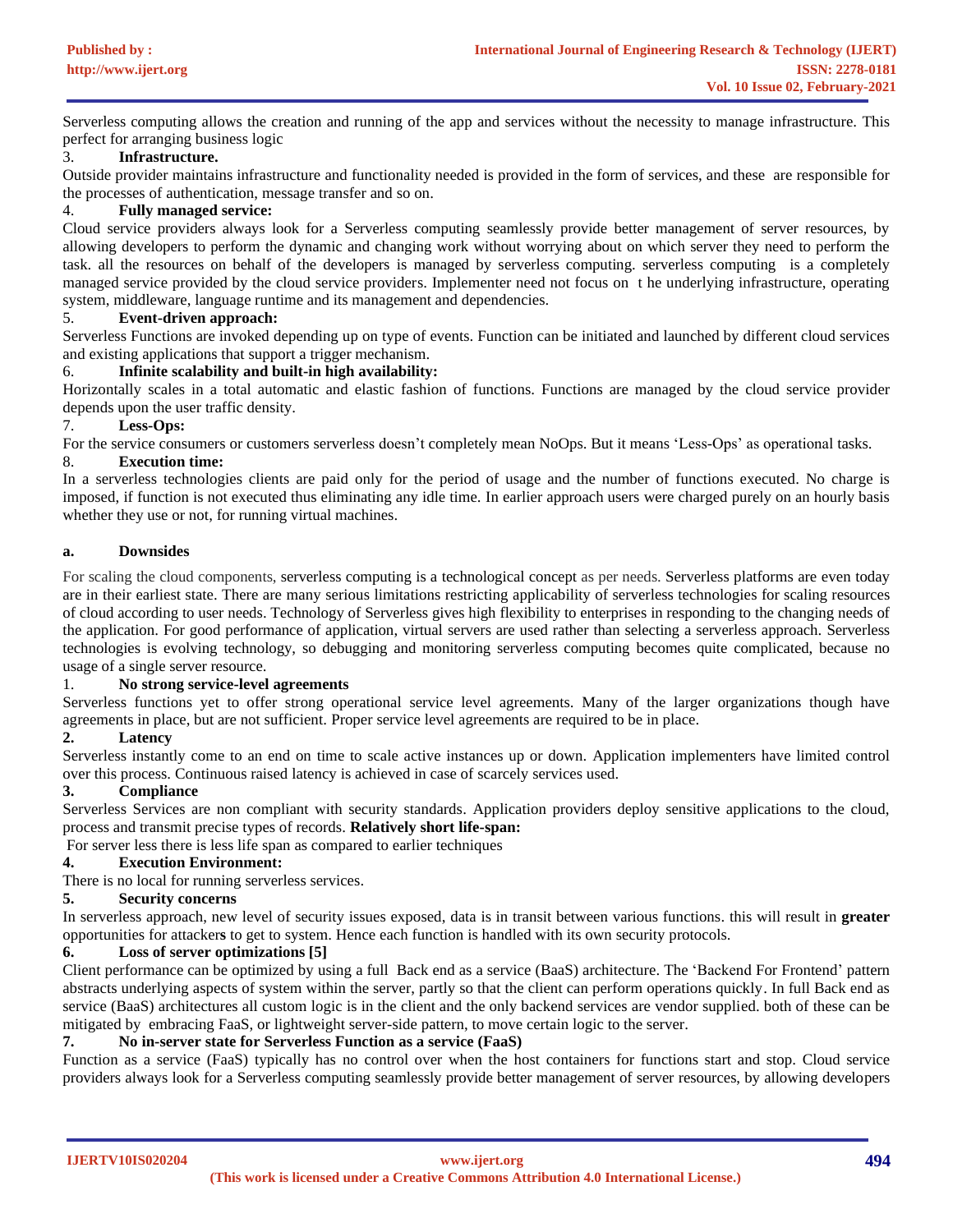Serverless computing allows the creation and running of the app and services without the necessity to manage infrastructure. This perfect for arranging business logic

# 3. **Infrastructure.**

Outside provider maintains infrastructure and functionality needed is provided in the form of services, and these are responsible for the processes of authentication, message transfer and so on.

# 4. **Fully managed service:**

Cloud service providers always look for a Serverless computing seamlessly provide better management of server resources, by allowing developers to perform the dynamic and changing work without worrying about on which server they need to perform the task. all the resources on behalf of the developers is managed by serverless computing. serverless computing is a completely managed service provided by the cloud service providers. Implementer need not focus on t he underlying infrastructure, operating system, middleware, language runtime and its management and dependencies.

# 5. **Event-driven approach:**

Serverless Functions are invoked depending up on type of events. Function can be initiated and launched by different cloud services and existing applications that support a trigger mechanism.

# 6. **Infinite scalability and built-in high availability:**

Horizontally scales in a total automatic and elastic fashion of functions. Functions are managed by the cloud service provider depends upon the user traffic density.

#### 7. **Less-Ops:**

For the service consumers or customers serverless doesn't completely mean NoOps. But it means 'Less-Ops' as operational tasks. 8. **Execution time:**

In a serverless technologies clients are paid only for the period of usage and the number of functions executed. No charge is imposed, if function is not executed thus eliminating any idle time. In earlier approach users were charged purely on an hourly basis whether they use or not, for running virtual machines.

#### **a. Downsides**

For scaling the cloud components, serverless computing is a technological concept as per needs. Serverless platforms are even today are in their earliest state. There are many serious limitations restricting applicability of serverless technologies for scaling resources of cloud according to user needs. Technology of Serverless gives high flexibility to enterprises in responding to the changing needs of the application. For good performance of application, virtual servers are used rather than selecting a serverless approach. Serverless technologies is evolving technology, so debugging and monitoring serverless computing becomes quite complicated, because no usage of a single server resource.

#### 1. **No strong service-level agreements**

Serverless functions yet to offer strong operational service level agreements. Many of the larger organizations though have agreements in place, but are not sufficient. Proper service level agreements are required to be in place.

# **2. Latency**

Serverless instantly come to an end on time to scale active instances up or down. Application implementers have limited control over this process. Continuous raised latency is achieved in case of scarcely services used.

# **3. Compliance**

Serverless Services are non compliant with security standards. Application providers deploy sensitive applications to the cloud, process and transmit precise types of records. **Relatively short life-span:**

For server less there is less life span as compared to earlier techniques

# **4. Execution Environment:**

There is no local for running serverless services.

# **5. Security concerns**

In serverless approach, new level of security issues exposed, data is in transit between various functions. this will result in **greater** opportunities for attacker**s** to get to system. Hence each function is handled with its own security protocols.

# **6. Loss of server optimizations [\[5\]](#page-11-2)**

Client performance can be optimized by using a full Back end as a service (BaaS) architecture. The 'Backend For Frontend' pattern abstracts underlying aspects of system within the server, partly so that the client can perform operations quickly. In full Back end as service (BaaS) architectures all custom logic is in the client and the only backend services are vendor supplied. both of these can be mitigated by embracing FaaS, or lightweight server-side pattern, to move certain logic to the server.

#### **7. No in-server state for Serverless Function as a service (FaaS)**

Function as a service (FaaS) typically has no control over when the host containers for functions start and stop. Cloud service providers always look for a Serverless computing seamlessly provide better management of server resources, by allowing developers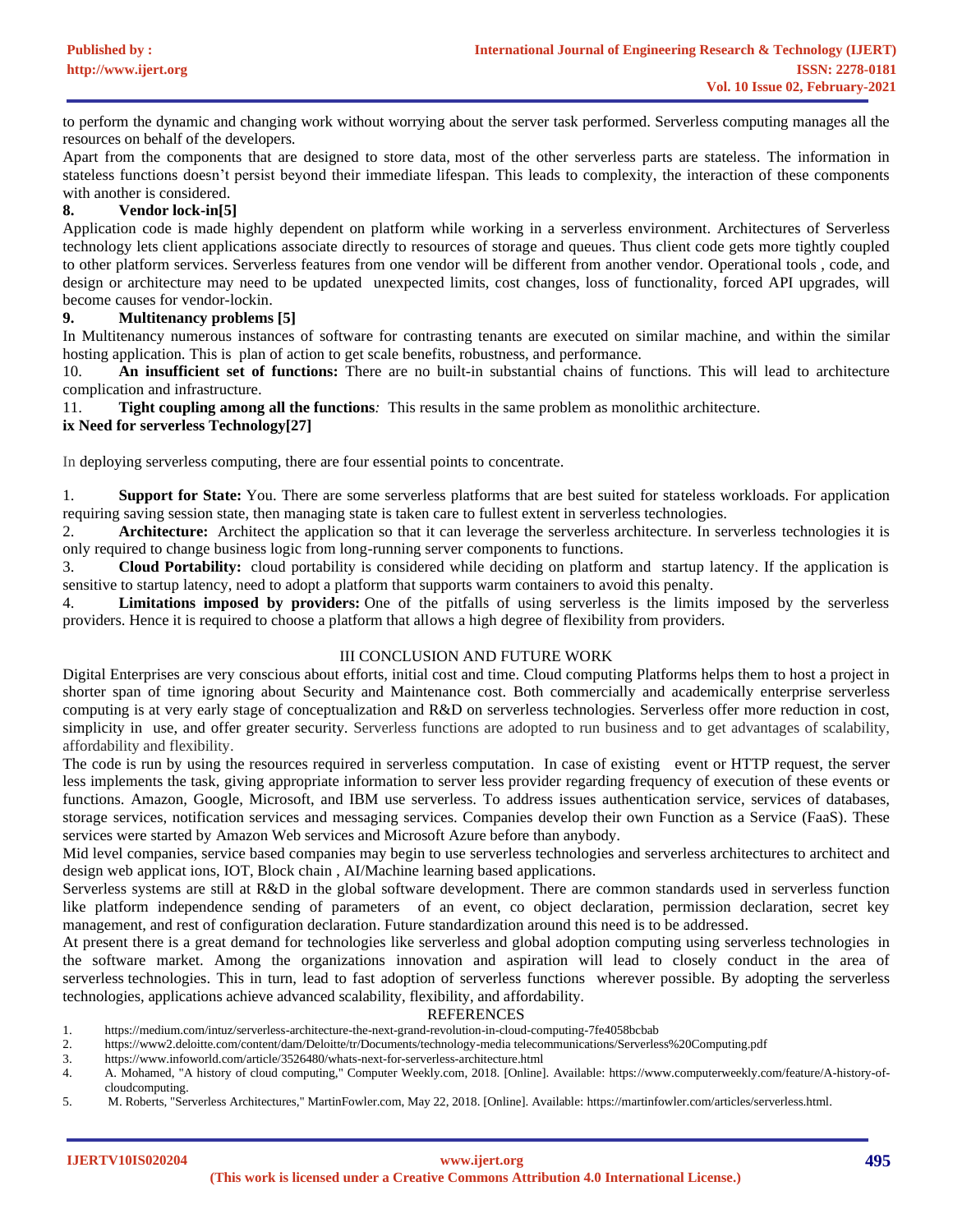to perform the dynamic and changing work without worrying about the server task performed. Serverless computing manages all the resources on behalf of the developers.

Apart from the components that are designed to store data, most of the other serverless parts are stateless. The information in stateless functions doesn't persist beyond their immediate lifespan. This leads to complexity, the interaction of these components with another is considered.

# **8. Vendor lock-in[\[5\]](#page-11-2)**

Application code is made highly dependent on platform while working in a serverless environment. Architectures of Serverless technology lets client applications associate directly to resources of storage and queues. Thus client code gets more tightly coupled to other platform services. Serverless features from one vendor will be different from another vendor. Operational tools , code, and design or architecture may need to be updated unexpected limits, cost changes, loss of functionality, forced API upgrades, will become causes for vendor-lockin.

# **9. Multitenancy problems [\[5\]](#page-11-2)**

In Multitenancy numerous instances of software for contrasting tenants are executed on similar machine, and within the similar hosting application. This is plan of action to get scale benefits, robustness, and performance.

10. **An insufficient set of functions:** There are no built-in substantial chains of functions. This will lead to architecture complication and infrastructure.

11. **Tight coupling among all the functions***:* This results in the same problem as monolithic architecture.

# **ix Need for serverless Technology[\[27\]](#page-12-13)**

In deploying serverless computing, there are four essential points to concentrate.

1. **Support for State:** You. There are some serverless platforms that are best suited for stateless workloads. For application requiring saving session state, then managing state is taken care to fullest extent in serverless technologies.

2. **Architecture:** Architect the application so that it can leverage the serverless architecture. In serverless technologies it is only required to change business logic from long-running server components to functions.

3. **Cloud Portability:** cloud portability is considered while deciding on platform and startup latency. If the application is sensitive to startup latency, need to adopt a platform that supports warm containers to avoid this penalty.

4. **Limitations imposed by providers:** One of the pitfalls of using serverless is the limits imposed by the serverless providers. Hence it is required to choose a platform that allows a high degree of flexibility from providers.

# III CONCLUSION AND FUTURE WORK

Digital Enterprises are very conscious about efforts, initial cost and time. Cloud computing Platforms helps them to host a project in shorter span of time ignoring about Security and Maintenance cost. Both commercially and academically enterprise serverless computing is at very early stage of conceptualization and R&D on serverless technologies. Serverless offer more reduction in cost, simplicity in use, and offer greater security. Serverless functions are adopted to run business and to get advantages of scalability, affordability and flexibility.

The code is run by using the resources required in serverless computation. In case of existing event or HTTP request, the server less implements the task, giving appropriate information to server less provider regarding frequency of execution of these events or functions. Amazon, Google, Microsoft, and IBM use serverless. To address issues authentication service, services of databases, storage services, notification services and messaging services. Companies develop their own Function as a Service (FaaS). These services were started by Amazon Web services and Microsoft Azure before than anybody.

Mid level companies, service based companies may begin to use serverless technologies and serverless architectures to architect and design web applicat ions, IOT, Block chain , AI/Machine learning based applications.

Serverless systems are still at R&D in the global software development. There are common standards used in serverless function like platform independence sending of parameters of an event, co object declaration, permission declaration, secret key management, and rest of configuration declaration. Future standardization around this need is to be addressed.

At present there is a great demand for technologies like serverless and global adoption computing using serverless technologies in the software market. Among the organizations innovation and aspiration will lead to closely conduct in the area of serverless technologies. This in turn, lead to fast adoption of serverless functions wherever possible. By adopting the serverless technologies, applications achieve advanced scalability, flexibility, and affordability.

# REFERENCES

- <span id="page-11-3"></span>1. https://medium.com/intuz/serverless-architecture-the-next-grand-revolution-in-cloud-computing-7fe4058bcbab
- <span id="page-11-0"></span>2. https://www2.deloitte.com/content/dam/Deloitte/tr/Documents/technology-media telecommunications/Serverless%20Computing.pdf
- <span id="page-11-4"></span>3. https://www.infoworld.com/article/3526480/whats-next-for-serverless-architecture.html 4. A. Mohamed, "A history of cloud computing," Computer Weekly.com, 2018. [Online]
- <span id="page-11-1"></span>4. A. Mohamed, "A history of cloud computing," Computer Weekly.com, 2018. [Online]. Available: https://www.computerweekly.com/feature/A-history-ofcloudcomputing.
- <span id="page-11-2"></span>5. M. Roberts, "Serverless Architectures," MartinFowler.com, May 22, 2018. [Online]. Available: https://martinfowler.com/articles/serverless.html.